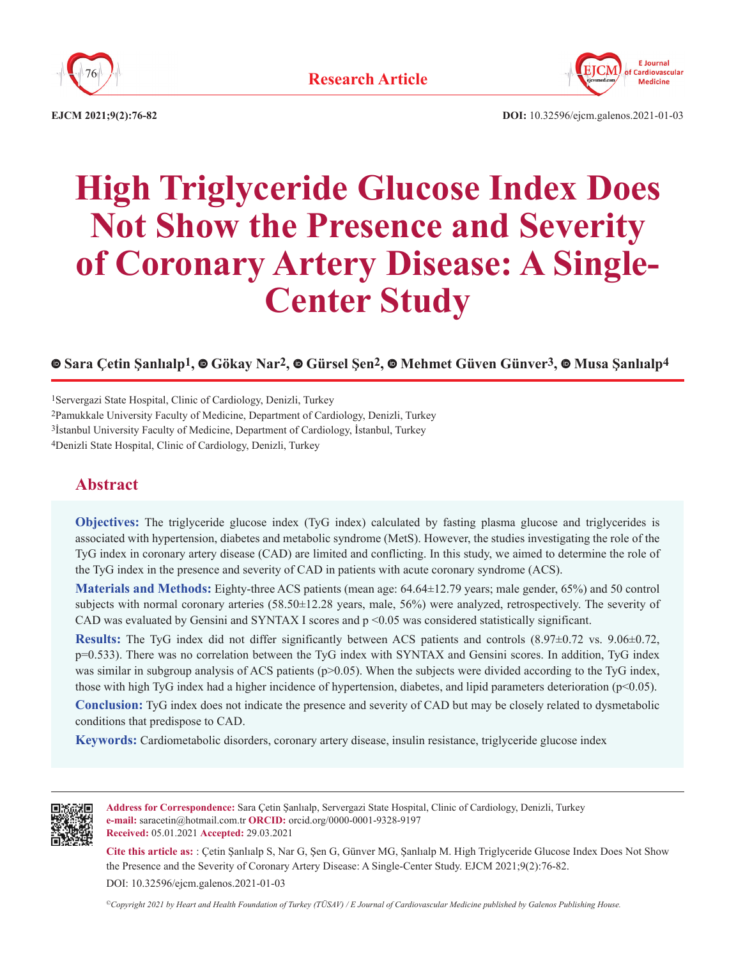



**EJCM 2021;9(2):76-82**

**DOI:** 10.32596/ejcm.galenos.2021-01-03

# **High Triglyceride Glucose Index Does Not Show the Presence and Severity of Coronary Artery Disease: A Single-Center Study**

## **Sara Çetin Şanlıalp1,Gökay Nar2,Gürsel Şen2,Mehmet Güven Günver3,Musa Şanlıalp4**

1Servergazi State Hospital, Clinic of Cardiology, Denizli, Turkey 2Pamukkale University Faculty of Medicine, Department of Cardiology, Denizli, Turkey 3İstanbul University Faculty of Medicine, Department of Cardiology, İstanbul, Turkey 4Denizli State Hospital, Clinic of Cardiology, Denizli, Turkey

## **Abstract**

**Objectives:** The triglyceride glucose index (TyG index) calculated by fasting plasma glucose and triglycerides is associated with hypertension, diabetes and metabolic syndrome (MetS). However, the studies investigating the role of the TyG index in coronary artery disease (CAD) are limited and conflicting. In this study, we aimed to determine the role of the TyG index in the presence and severity of CAD in patients with acute coronary syndrome (ACS).

**Materials and Methods:** Eighty-three ACS patients (mean age: 64.64±12.79 years; male gender, 65%) and 50 control subjects with normal coronary arteries (58.50±12.28 years, male, 56%) were analyzed, retrospectively. The severity of CAD was evaluated by Gensini and SYNTAX I scores and p <0.05 was considered statistically significant.

**Results:** The TyG index did not differ significantly between ACS patients and controls (8.97±0.72 vs. 9.06±0.72, p=0.533). There was no correlation between the TyG index with SYNTAX and Gensini scores. In addition, TyG index was similar in subgroup analysis of ACS patients (p>0.05). When the subjects were divided according to the TyG index, those with high TyG index had a higher incidence of hypertension, diabetes, and lipid parameters deterioration (p<0.05).

**Conclusion:** TyG index does not indicate the presence and severity of CAD but may be closely related to dysmetabolic conditions that predispose to CAD.

**Keywords:** Cardiometabolic disorders, coronary artery disease, insulin resistance, triglyceride glucose index



**Address for Correspondence:** Sara Çetin Şanlıalp, Servergazi State Hospital, Clinic of Cardiology, Denizli, Turkey **e-mail:** saracetin@hotmail.com.tr **ORCID:** orcid.org/0000-0001-9328-9197 **Received:** 05.01.2021 **Accepted:** 29.03.2021

**Cite this article as:** : Çetin Şanlıalp S, Nar G, Şen G, Günver MG, Şanlıalp M. High Triglyceride Glucose Index Does Not Show the Presence and the Severity of Coronary Artery Disease: A Single-Center Study. EJCM 2021;9(2):76-82.

DOI: 10.32596/ejcm.galenos.2021-01-03

*©Copyright 2021 by Heart and Health Foundation of Turkey (TÜSAV) / E Journal of Cardiovascular Medicine published by Galenos Publishing House.*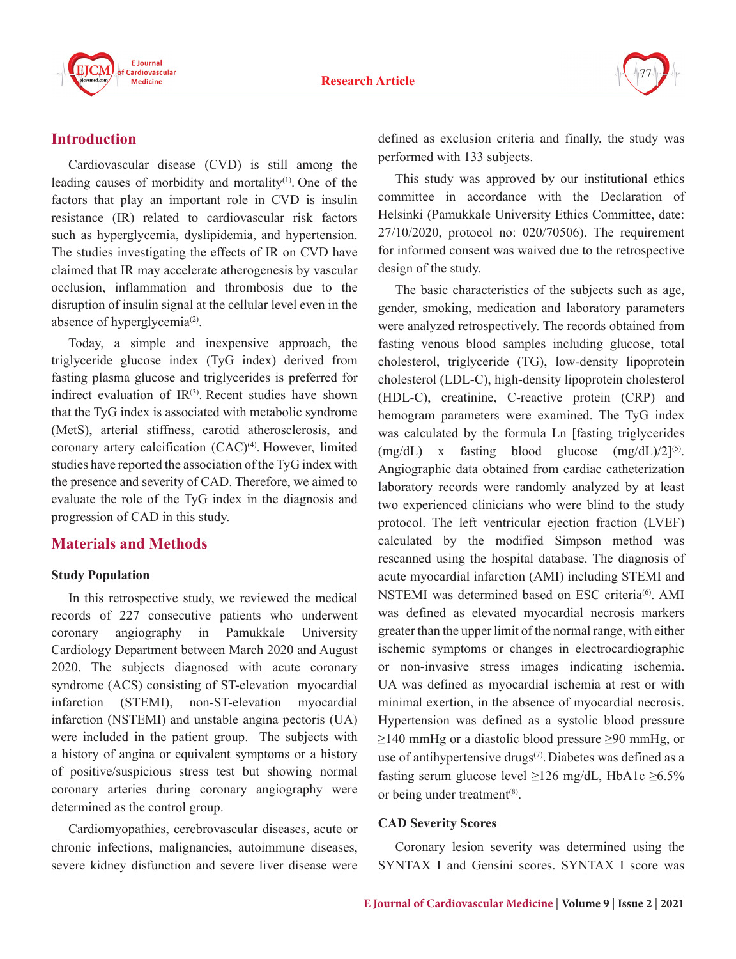



## **Introduction**

Cardiovascular disease (CVD) is still among the leading causes of morbidity and mortality(1). One of the factors that play an important role in CVD is insulin resistance (IR) related to cardiovascular risk factors such as hyperglycemia, dyslipidemia, and hypertension. The studies investigating the effects of IR on CVD have claimed that IR may accelerate atherogenesis by vascular occlusion, inflammation and thrombosis due to the disruption of insulin signal at the cellular level even in the absence of hyperglycemia<sup>(2)</sup>.

Today, a simple and inexpensive approach, the triglyceride glucose index (TyG index) derived from fasting plasma glucose and triglycerides is preferred for indirect evaluation of  $IR^{(3)}$ . Recent studies have shown that the TyG index is associated with metabolic syndrome (MetS), arterial stiffness, carotid atherosclerosis, and coronary artery calcification (CAC)<sup>(4)</sup>. However, limited studies have reported the association of the TyG index with the presence and severity of CAD. Therefore, we aimed to evaluate the role of the TyG index in the diagnosis and progression of CAD in this study.

### **Materials and Methods**

#### **Study Population**

In this retrospective study, we reviewed the medical records of 227 consecutive patients who underwent coronary angiography in Pamukkale University Cardiology Department between March 2020 and August 2020. The subjects diagnosed with acute coronary syndrome (ACS) consisting of ST-elevation myocardial infarction (STEMI), non-ST-elevation myocardial infarction (NSTEMI) and unstable angina pectoris (UA) were included in the patient group. The subjects with a history of angina or equivalent symptoms or a history of positive/suspicious stress test but showing normal coronary arteries during coronary angiography were determined as the control group.

Cardiomyopathies, cerebrovascular diseases, acute or chronic infections, malignancies, autoimmune diseases, severe kidney disfunction and severe liver disease were

defined as exclusion criteria and finally, the study was performed with 133 subjects.

This study was approved by our institutional ethics committee in accordance with the Declaration of Helsinki (Pamukkale University Ethics Committee, date: 27/10/2020, protocol no: 020/70506). The requirement for informed consent was waived due to the retrospective design of the study.

The basic characteristics of the subjects such as age, gender, smoking, medication and laboratory parameters were analyzed retrospectively. The records obtained from fasting venous blood samples including glucose, total cholesterol, triglyceride (TG), low-density lipoprotein cholesterol (LDL-C), high-density lipoprotein cholesterol (HDL-C), creatinine, C-reactive protein (CRP) and hemogram parameters were examined. The TyG index was calculated by the formula Ln [fasting triglycerides  $(mg/dL)$  x fasting blood glucose  $(mg/dL)/2$ <sup>[5]</sup>. Angiographic data obtained from cardiac catheterization laboratory records were randomly analyzed by at least two experienced clinicians who were blind to the study protocol. The left ventricular ejection fraction (LVEF) calculated by the modified Simpson method was rescanned using the hospital database. The diagnosis of acute myocardial infarction (AMI) including STEMI and NSTEMI was determined based on ESC criteria<sup>(6)</sup>. AMI was defined as elevated myocardial necrosis markers greater than the upper limit of the normal range, with either ischemic symptoms or changes in electrocardiographic or non-invasive stress images indicating ischemia. UA was defined as myocardial ischemia at rest or with minimal exertion, in the absence of myocardial necrosis. Hypertension was defined as a systolic blood pressure  $\geq$ 140 mmHg or a diastolic blood pressure  $\geq$ 90 mmHg, or use of antihypertensive drugs<sup>(7)</sup>. Diabetes was defined as a fasting serum glucose level  $\geq$ 126 mg/dL, HbA1c  $\geq$ 6.5% or being under treatment<sup>(8)</sup>.

#### **CAD Severity Scores**

Coronary lesion severity was determined using the SYNTAX I and Gensini scores. SYNTAX I score was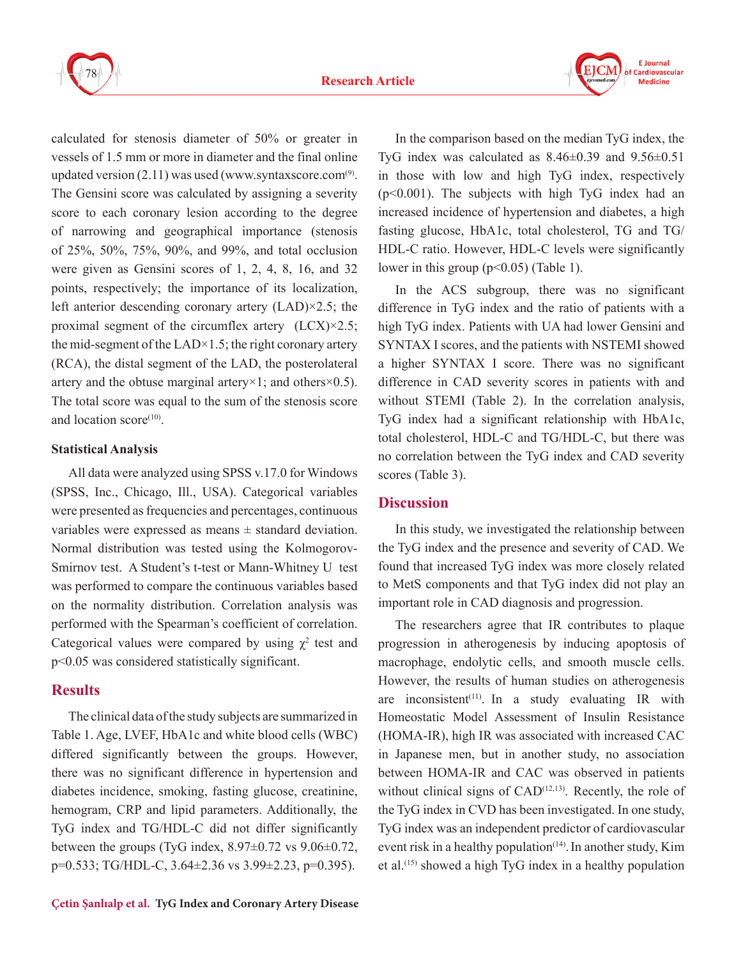



calculated for stenosis diameter of 50% or greater in vessels of 1.5 mm or more in diameter and the final online updated version  $(2.11)$  was used (www.syntaxscore.com<sup>(9)</sup>. The Gensini score was calculated by assigning a severity score to each coronary lesion according to the degree of narrowing and geographical importance (stenosis of 25%, 50%, 75%, 90%, and 99%, and total occlusion were given as Gensini scores of 1, 2, 4, 8, 16, and 32 points, respectively; the importance of its localization, left anterior descending coronary artery (LAD)×2.5; the proximal segment of the circumflex artery (LCX)×2.5; the mid-segment of the LAD $\times$ 1.5; the right coronary artery (RCA), the distal segment of the LAD, the posterolateral artery and the obtuse marginal artery $\times$ 1; and others $\times$ 0.5). The total score was equal to the sum of the stenosis score and location score<sup>(10)</sup>.

#### **Statistical Analysis**

All data were analyzed using SPSS v.17.0 for Windows (SPSS, Inc., Chicago, Ill., USA). Categorical variables were presented as frequencies and percentages, continuous variables were expressed as means  $\pm$  standard deviation. Normal distribution was tested using the Kolmogorov-Smirnov test. A Student's t-test or Mann-Whitney U test was performed to compare the continuous variables based on the normality distribution. Correlation analysis was performed with the Spearman's coefficient of correlation. Categorical values were compared by using  $\chi^2$  test and p<0.05 was considered statistically significant.

### **Results**

The clinical data of the study subjects are summarized in Table 1. Age, LVEF, HbA1c and white blood cells (WBC) differed significantly between the groups. However, there was no significant difference in hypertension and diabetes incidence, smoking, fasting glucose, creatinine, hemogram, CRP and lipid parameters. Additionally, the TyG index and TG/HDL-C did not differ significantly between the groups (TyG index,  $8.97\pm0.72$  vs  $9.06\pm0.72$ , p=0.533; TG/HDL-C, 3.64±2.36 vs 3.99±2.23, p=0.395).

In the comparison based on the median TyG index, the TyG index was calculated as  $8.46\pm0.39$  and  $9.56\pm0.51$ in those with low and high TyG index, respectively (p<0.001). The subjects with high TyG index had an increased incidence of hypertension and diabetes, a high fasting glucose, HbA1c, total cholesterol, TG and TG/ HDL-C ratio. However, HDL-C levels were significantly lower in this group  $(p<0.05)$  (Table 1).

In the ACS subgroup, there was no significant difference in TyG index and the ratio of patients with a high TyG index. Patients with UA had lower Gensini and SYNTAX I scores, and the patients with NSTEMI showed a higher SYNTAX I score. There was no significant difference in CAD severity scores in patients with and without STEMI (Table 2). In the correlation analysis, TyG index had a significant relationship with HbA1c, total cholesterol, HDL-C and TG/HDL-C, but there was no correlation between the TyG index and CAD severity scores (Table 3).

### **Discussion**

In this study, we investigated the relationship between the TyG index and the presence and severity of CAD. We found that increased TyG index was more closely related to MetS components and that TyG index did not play an important role in CAD diagnosis and progression.

The researchers agree that IR contributes to plaque progression in atherogenesis by inducing apoptosis of macrophage, endolytic cells, and smooth muscle cells. However, the results of human studies on atherogenesis are inconsistent<sup> $(11)$ </sup>. In a study evaluating IR with Homeostatic Model Assessment of Insulin Resistance (HOMA-IR), high IR was associated with increased CAC in Japanese men, but in another study, no association between HOMA-IR and CAC was observed in patients without clinical signs of  $CAD<sup>(12,13)</sup>$ . Recently, the role of the TyG index in CVD has been investigated. In one study, TyG index was an independent predictor of cardiovascular event risk in a healthy population<sup>(14)</sup>. In another study, Kim et al.(15) showed a high TyG index in a healthy population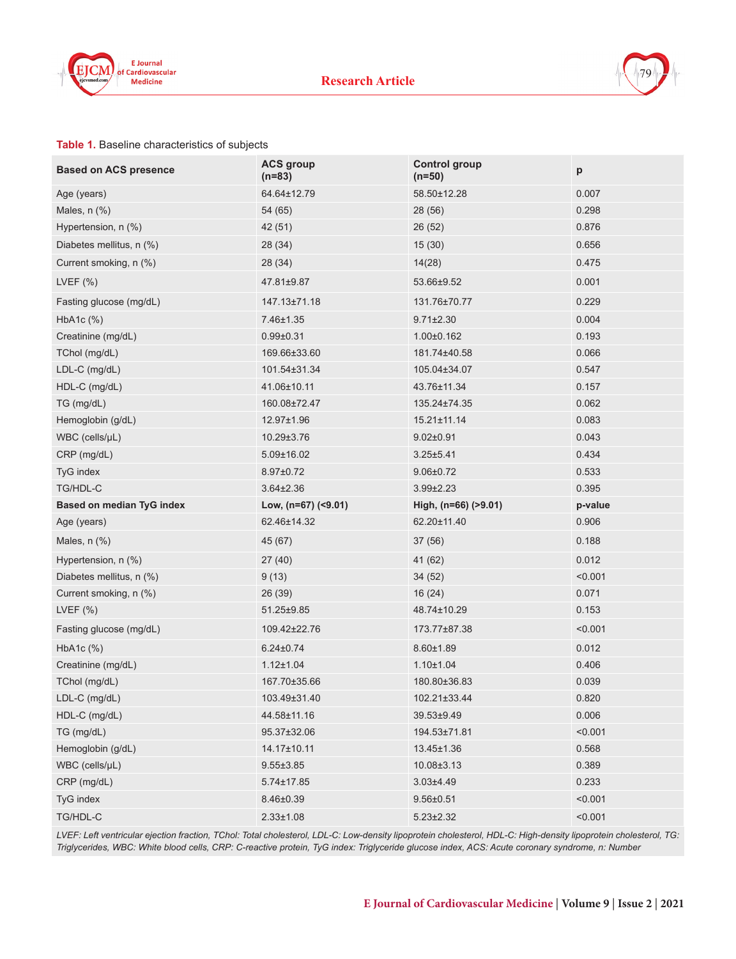



#### **Table 1.** Baseline characteristics of subjects

| <b>Based on ACS presence</b> | <b>ACS group</b><br>$(n=83)$ | <b>Control group</b><br>$(n=50)$ | p       |
|------------------------------|------------------------------|----------------------------------|---------|
| Age (years)                  | 64.64±12.79                  | 58.50±12.28                      | 0.007   |
| Males, n (%)                 | 54 (65)                      | 28 (56)                          | 0.298   |
| Hypertension, n (%)          | 42 (51)                      | 26 (52)                          | 0.876   |
| Diabetes mellitus, n (%)     | 28 (34)                      | 15(30)                           | 0.656   |
| Current smoking, n (%)       | 28 (34)                      | 14(28)                           | 0.475   |
| LVEF $(%)$                   | 47.81±9.87                   | 53.66±9.52                       | 0.001   |
| Fasting glucose (mg/dL)      | 147.13±71.18                 | 131.76±70.77                     | 0.229   |
| $HbA1c$ $(\%)$               | 7.46±1.35                    | $9.71 \pm 2.30$                  | 0.004   |
| Creatinine (mg/dL)           | $0.99 + 0.31$                | $1.00 \pm 0.162$                 | 0.193   |
| TChol (mg/dL)                | 169.66±33.60                 | 181.74±40.58                     | 0.066   |
| LDL-C (mg/dL)                | 101.54±31.34                 | 105.04±34.07                     | 0.547   |
| HDL-C (mg/dL)                | 41.06±10.11                  | 43.76±11.34                      | 0.157   |
| TG (mg/dL)                   | 160.08±72.47                 | 135.24±74.35                     | 0.062   |
| Hemoglobin (g/dL)            | 12.97±1.96                   | 15.21±11.14                      | 0.083   |
| $WBC$ (cells/ $\mu L$ )      | 10.29±3.76                   | $9.02 \pm 0.91$                  | 0.043   |
| CRP (mg/dL)                  | $5.09 \pm 16.02$             | $3.25 + 5.41$                    | 0.434   |
| TyG index                    | 8.97±0.72                    | $9.06 \pm 0.72$                  | 0.533   |
| TG/HDL-C                     | $3.64 \pm 2.36$              | $3.99 \pm 2.23$                  | 0.395   |
| Based on median TyG index    | Low, (n=67) (<9.01)          | High, (n=66) (>9.01)             | p-value |
| Age (years)                  | 62.46±14.32                  | 62.20±11.40                      | 0.906   |
| Males, $n$ $(\%)$            | 45 (67)                      | 37 (56)                          | 0.188   |
| Hypertension, n (%)          | 27(40)                       | 41 (62)                          | 0.012   |
| Diabetes mellitus, n (%)     | 9(13)                        | 34 (52)                          | < 0.001 |
| Current smoking, n (%)       | 26 (39)                      | 16(24)                           | 0.071   |
| LVEF $(%)$                   | 51.25±9.85                   | 48.74±10.29                      | 0.153   |
| Fasting glucose (mg/dL)      | 109.42±22.76                 | 173.77±87.38                     | < 0.001 |
| HbA <sub>1</sub> c $(\%)$    | $6.24 \pm 0.74$              | $8.60 \pm 1.89$                  | 0.012   |
| Creatinine (mg/dL)           | $1.12 \pm 1.04$              | $1.10 \pm 1.04$                  | 0.406   |
| TChol (mg/dL)                |                              |                                  |         |
|                              | 167.70±35.66                 | 180.80±36.83                     | 0.039   |
| LDL-C (mg/dL)                | 103.49±31.40                 | 102.21±33.44                     | 0.820   |
| HDL-C (mg/dL)                | 44.58±11.16                  | 39.53±9.49                       | 0.006   |
| TG (mg/dL)                   | 95.37±32.06                  | 194.53±71.81                     | < 0.001 |
| Hemoglobin (g/dL)            | 14.17±10.11                  | 13.45±1.36                       | 0.568   |
| WBC (cells/µL)               | $9.55 \pm 3.85$              | 10.08±3.13                       | 0.389   |
| CRP (mg/dL)                  | $5.74 \pm 17.85$             | $3.03 \pm 4.49$                  | 0.233   |
| TyG index                    | 8.46±0.39                    | $9.56 \pm 0.51$                  | < 0.001 |

*LVEF: Left ventricular ejection fraction, TChol: Total cholesterol, LDL-C: Low-density lipoprotein cholesterol, HDL-C: High-density lipoprotein cholesterol, TG: Triglycerides, WBC: White blood cells, CRP: C-reactive protein, TyG index: Triglyceride glucose index, ACS: Acute coronary syndrome, n: Number*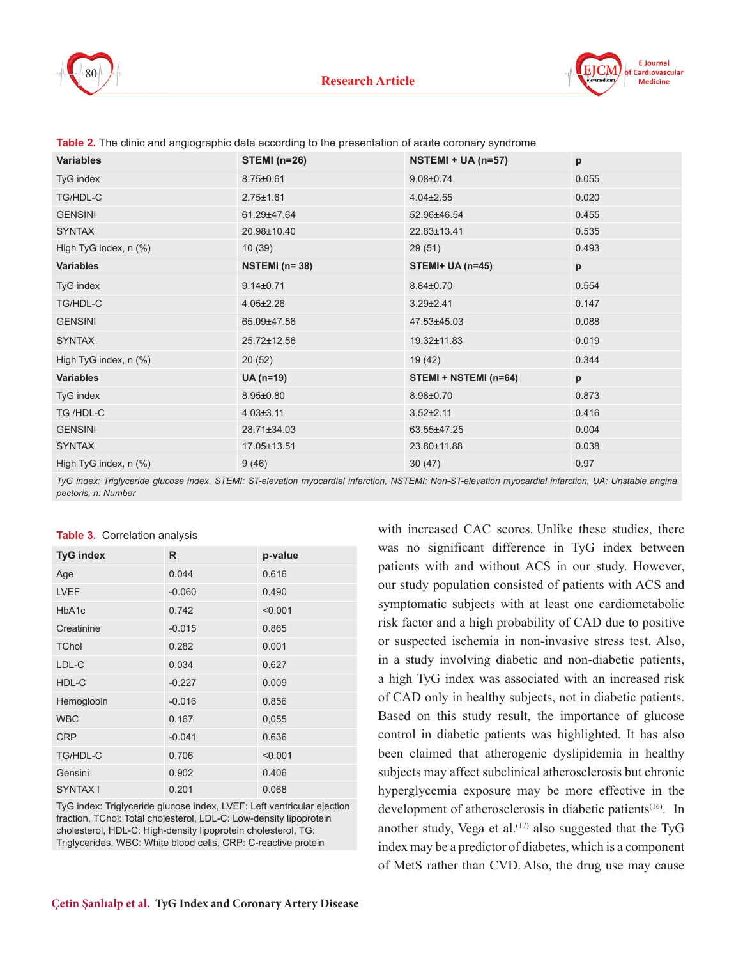



| <b>Variables</b>      | <b>STEMI</b> (n=26) | NSTEMI + UA (n=57)    | р            |
|-----------------------|---------------------|-----------------------|--------------|
| TyG index             | $8.75 \pm 0.61$     | $9.08 \pm 0.74$       | 0.055        |
| TG/HDL-C              | $2.75 \pm 1.61$     | $4.04 \pm 2.55$       | 0.020        |
| <b>GENSINI</b>        | 61.29±47.64         | 52.96±46.54           | 0.455        |
| <b>SYNTAX</b>         | 20.98±10.40         | 22.83±13.41           | 0.535        |
| High TyG index, n (%) | 10(39)              | 29(51)                | 0.493        |
| <b>Variables</b>      | NSTEMI $(n=38)$     | STEMI+ UA $(n=45)$    | $\mathsf{p}$ |
| TyG index             | $9.14 \pm 0.71$     | $8.84 \pm 0.70$       | 0.554        |
| TG/HDL-C              | $4.05 \pm 2.26$     | $3.29 \pm 2.41$       | 0.147        |
| <b>GENSINI</b>        | 65.09±47.56         | 47.53±45.03           | 0.088        |
| <b>SYNTAX</b>         | 25.72±12.56         | 19.32±11.83           | 0.019        |
| High TyG index, n (%) | 20(52)              | 19(42)                | 0.344        |
| <b>Variables</b>      | UA (n=19)           | STEMI + NSTEMI (n=64) | $\mathsf{p}$ |
| TyG index             | $8.95 \pm 0.80$     | 8.98±0.70             | 0.873        |
| TG /HDL-C             | $4.03 \pm 3.11$     | $3.52 \pm 2.11$       | 0.416        |
| <b>GENSINI</b>        | 28.71±34.03         | 63.55±47.25           | 0.004        |
| <b>SYNTAX</b>         | 17.05±13.51         | 23.80±11.88           | 0.038        |
| High TyG index, n (%) | 9(46)               | 30(47)                | 0.97         |

**Table 2.** The clinic and angiographic data according to the presentation of acute coronary syndrome

*TyG index: Triglyceride glucose index, STEMI: ST-elevation myocardial infarction, NSTEMI: Non-ST-elevation myocardial infarction, UA: Unstable angina pectoris, n: Number* 

| <b>TyG index</b> | R        | p-value |
|------------------|----------|---------|
| Age              | 0.044    | 0.616   |
| <b>LVEF</b>      | $-0.060$ | 0.490   |
| HbA1c            | 0.742    | < 0.001 |
| Creatinine       | $-0.015$ | 0.865   |
| <b>TChol</b>     | 0.282    | 0.001   |
| LDL-C            | 0.034    | 0.627   |
| HDL-C            | $-0.227$ | 0.009   |
| Hemoglobin       | $-0.016$ | 0.856   |
| <b>WBC</b>       | 0.167    | 0,055   |
| <b>CRP</b>       | $-0.041$ | 0.636   |
| <b>TG/HDL-C</b>  | 0.706    | < 0.001 |
| Gensini          | 0.902    | 0.406   |
| SYNTAX I         | 0.201    | 0.068   |

TyG index: Triglyceride glucose index, LVEF: Left ventricular ejection fraction, TChol: Total cholesterol, LDL-C: Low-density lipoprotein cholesterol, HDL-C: High-density lipoprotein cholesterol, TG: Triglycerides, WBC: White blood cells, CRP: C-reactive protein

was no significant difference in TyG index between patients with and without ACS in our study. However, our study population consisted of patients with ACS and symptomatic subjects with at least one cardiometabolic risk factor and a high probability of CAD due to positive or suspected ischemia in non-invasive stress test. Also, in a study involving diabetic and non-diabetic patients, a high TyG index was associated with an increased risk of CAD only in healthy subjects, not in diabetic patients. Based on this study result, the importance of glucose control in diabetic patients was highlighted. It has also been claimed that atherogenic dyslipidemia in healthy subjects may affect subclinical atherosclerosis but chronic hyperglycemia exposure may be more effective in the development of atherosclerosis in diabetic patients<sup>(16)</sup>. In another study, Vega et al.<sup> $(17)$ </sup> also suggested that the TyG index may be a predictor of diabetes, which is a component of MetS rather than CVD. Also, the drug use may cause

with increased CAC scores. Unlike these studies, there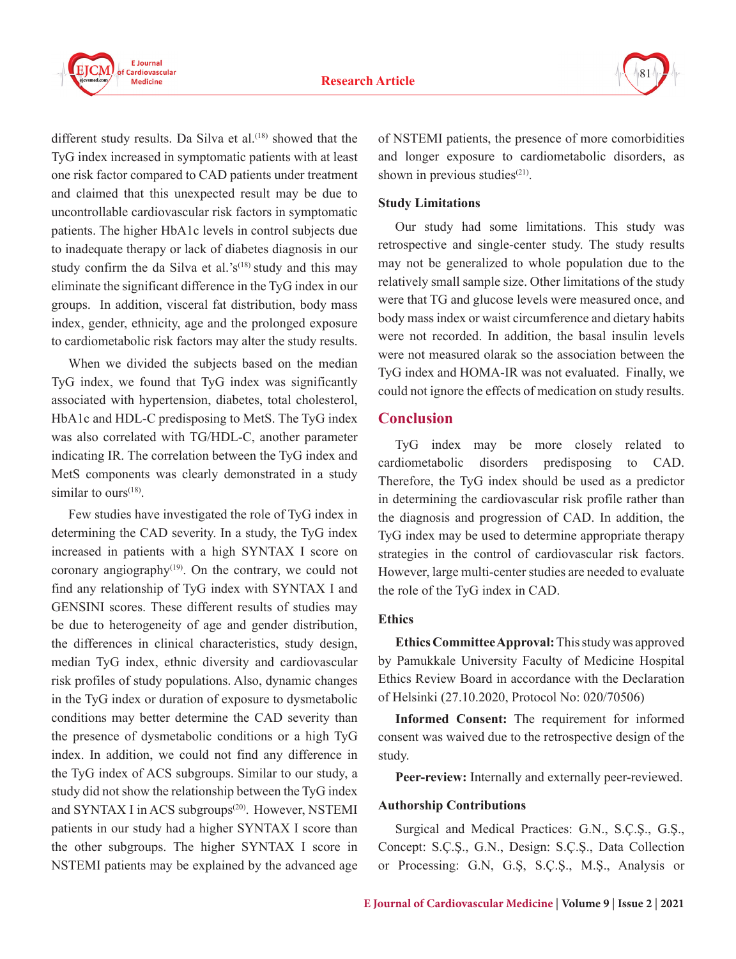



different study results. Da Silva et al.<sup>(18)</sup> showed that the TyG index increased in symptomatic patients with at least one risk factor compared to CAD patients under treatment and claimed that this unexpected result may be due to uncontrollable cardiovascular risk factors in symptomatic patients. The higher HbA1c levels in control subjects due to inadequate therapy or lack of diabetes diagnosis in our study confirm the da Silva et al.'s<sup> $(18)$ </sup> study and this may eliminate the significant difference in the TyG index in our groups. In addition, visceral fat distribution, body mass index, gender, ethnicity, age and the prolonged exposure to cardiometabolic risk factors may alter the study results.

When we divided the subjects based on the median TyG index, we found that TyG index was significantly associated with hypertension, diabetes, total cholesterol, HbA1c and HDL-C predisposing to MetS. The TyG index was also correlated with TG/HDL-C, another parameter indicating IR. The correlation between the TyG index and MetS components was clearly demonstrated in a study similar to ours<sup> $(18)$ </sup>.

Few studies have investigated the role of TyG index in determining the CAD severity. In a study, the TyG index increased in patients with a high SYNTAX I score on coronary angiography $(19)$ . On the contrary, we could not find any relationship of TyG index with SYNTAX I and GENSINI scores. These different results of studies may be due to heterogeneity of age and gender distribution, the differences in clinical characteristics, study design, median TyG index, ethnic diversity and cardiovascular risk profiles of study populations. Also, dynamic changes in the TyG index or duration of exposure to dysmetabolic conditions may better determine the CAD severity than the presence of dysmetabolic conditions or a high TyG index. In addition, we could not find any difference in the TyG index of ACS subgroups. Similar to our study, a study did not show the relationship between the TyG index and SYNTAX I in ACS subgroups<sup>(20)</sup>. However, NSTEMI patients in our study had a higher SYNTAX I score than the other subgroups. The higher SYNTAX I score in NSTEMI patients may be explained by the advanced age

of NSTEMI patients, the presence of more comorbidities and longer exposure to cardiometabolic disorders, as shown in previous studies $(21)$ .

#### **Study Limitations**

Our study had some limitations. This study was retrospective and single-center study. The study results may not be generalized to whole population due to the relatively small sample size. Other limitations of the study were that TG and glucose levels were measured once, and body mass index or waist circumference and dietary habits were not recorded. In addition, the basal insulin levels were not measured olarak so the association between the TyG index and HOMA-IR was not evaluated. Finally, we could not ignore the effects of medication on study results.

## **Conclusion**

TyG index may be more closely related to cardiometabolic disorders predisposing to CAD. Therefore, the TyG index should be used as a predictor in determining the cardiovascular risk profile rather than the diagnosis and progression of CAD. In addition, the TyG index may be used to determine appropriate therapy strategies in the control of cardiovascular risk factors. However, large multi-center studies are needed to evaluate the role of the TyG index in CAD.

### **Ethics**

**Ethics Committee Approval:** This study was approved by Pamukkale University Faculty of Medicine Hospital Ethics Review Board in accordance with the Declaration of Helsinki (27.10.2020, Protocol No: 020/70506)

**Informed Consent:** The requirement for informed consent was waived due to the retrospective design of the study.

**Peer-review:** Internally and externally peer-reviewed.

### **Authorship Contributions**

Surgical and Medical Practices: G.N., S.Ç.Ş., G.Ş., Concept: S.Ç.Ş., G.N., Design: S.Ç.Ş., Data Collection or Processing: G.N, G.Ş, S.Ç.Ş., M.Ş., Analysis or